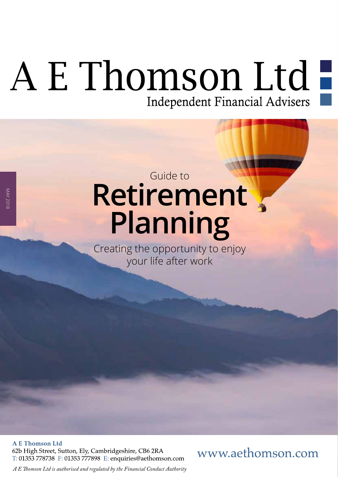# A E Thomson Ltd

### **Retirement Planning** Guide to

Creating the opportunity to enjoy your life after work

**A E Thomson Ltd** 62b High Street, Sutton, Ely, Cambridgeshire, CB6 2RA T: 01353 778738 F: 01353 777898 E: enquiries@aethomson.com

MAY 2018

NAY 2018

### www.aethomson.com

*A E Tomson Ltd is authorised and regulated by the Financial Conduct Authority*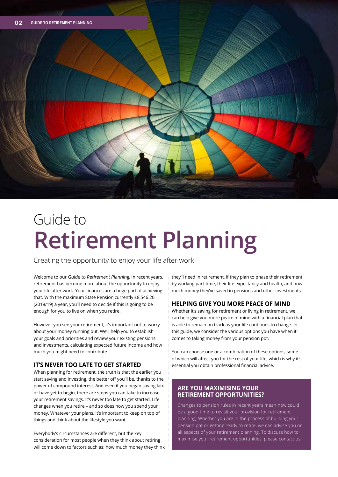### Guide to **Retirement Planning**

Creating the opportunity to enjoy your life after work

Welcome to our Guide to Retirement Planning. In recent years, retirement has become more about the opportunity to enjoy your life after work. Your fnances are a huge part of achieving that. With the maximum State Pension currently £8,546.20 (2018/19) a year, you'll need to decide if this is going to be enough for you to live on when you retire.

However you see your retirement, it's important not to worry about your money running out. We'll help you to establish your goals and priorities and review your existing pensions and investments, calculating expected future income and how much you might need to contribute.

#### **IT'S NEVER TOO LATE TO GET STARTED**

When planning for retirement, the truth is that the earlier you start saving and investing, the better off you'll be, thanks to the power of compound interest. And even if you began saving late or have yet to begin, there are steps you can take to increase your retirement savings. It's never too late to get started. Life changes when you retire – and so does how you spend your money. Whatever your plans, it's important to keep on top of things and think about the lifestyle you want.

Everybody's circumstances are different, but the key consideration for most people when they think about retiring will come down to factors such as: how much money they think they'll need in retirement, if they plan to phase their retirement by working part-time, their life expectancy and health, and how much money they've saved in pensions and other investments.

#### **HELPING GIVE YOU MORE PEACE OF MIND**

Whether it's saving for retirement or living in retirement, we can help give you more peace of mind with a financial plan that is able to remain on track as your life continues to change. In this guide, we consider the various options you have when it comes to taking money from your pension pot.

You can choose one or a combination of these options, some of which will affect you for the rest of your life, which is why it's essential you obtain professional financial advice.

#### **ARE YOU MAXIMISING YOUR RETIREMENT OPPORTUNITIES?**

Changes to pension rules in recent years mean now could be a good time to revisit your provision for retirement planning. Whether you are in the process of building your pension pot or getting ready to retire, we can advise you on all aspects of your retirement planning. To discuss how to maximise your retirement opportunities, please contact us.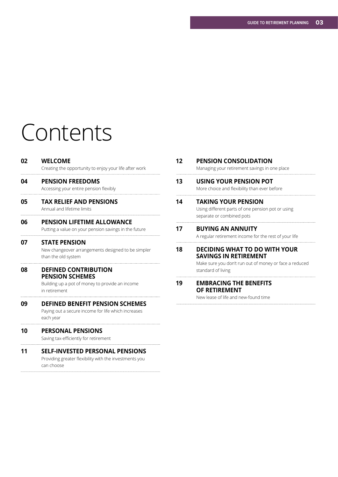### Contents

Creating the opportunity to enjoy your life after work

#### **04 PENSION FREEDOMS**

Accessing your entire pension flexibly

#### **05 TAX RELIEF AND PENSIONS**  Annual and lifetime limits

#### **06 PENSION LIFETIME ALLOWANCE**

Putting a value on your pension savings in the future

#### **07 STATE PENSION**

New changeover arrangements designed to be simpler than the old system

**08 DEFINED CONTRIBUTION PENSION SCHEMES**

> Building up a pot of money to provide an income in retirement

- **09 DEFINED BENEFIT PENSION SCHEMES** Paying out a secure income for life which increases each year
- **10 PERSONAL PENSIONS** Saving tax-efficiently for retirement
- **11 SELF-INVESTED PERSONAL PENSIONS** Providing greater fexibility with the investments you

can choose

| 12 | <b>PENSION CONSOLIDATION</b><br>Managing your retirement savings in one place                                                                 |
|----|-----------------------------------------------------------------------------------------------------------------------------------------------|
| 13 | USING YOUR PENSION POT<br>More choice and flexibility than ever before                                                                        |
| 14 | <b>TAKING YOUR PENSION</b><br>Using different parts of one pension pot or using<br>separate or combined pots                                  |
| 17 | <b>BUYING AN ANNUITY</b><br>A regular retirement income for the rest of your life                                                             |
| 18 | <b>DECIDING WHAT TO DO WITH YOUR</b><br>SAVINGS IN RETIREMENT<br>Make sure you don't run out of money or face a reduced<br>standard of living |

#### **19 EMBRACING THE BENEFITS OF RETIREMENT**

New lease of life and new-found time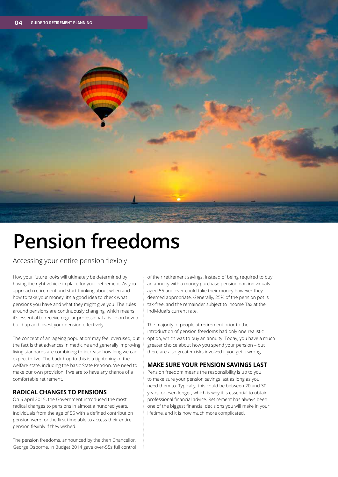

### **Pension freedoms**

Accessing your entire pension fexibly

How your future looks will ultimately be determined by having the right vehicle in place for your retirement. As you approach retirement and start thinking about when and how to take your money, it's a good idea to check what pensions you have and what they might give you. The rules around pensions are continuously changing, which means it's essential to receive regular professional advice on how to build up and invest your pension effectively.

The concept of an 'ageing population' may feel overused, but the fact is that advances in medicine and generally improving living standards are combining to increase how long we can expect to live. The backdrop to this is a tightening of the welfare state, including the basic State Pension. We need to make our own provision if we are to have any chance of a comfortable retirement.

#### **RADICAL CHANGES TO PENSIONS**

On 6 April 2015, the Government introduced the most radical changes to pensions in almost a hundred years. Individuals from the age of 55 with a defned contribution pension were for the frst time able to access their entire pension fexibly if they wished.

The pension freedoms, announced by the then Chancellor, George Osborne, in Budget 2014 gave over-55s full control

of their retirement savings. Instead of being required to buy an annuity with a money purchase pension pot, individuals aged 55 and over could take their money however they deemed appropriate. Generally, 25% of the pension pot is tax-free, and the remainder subject to Income Tax at the individual's current rate.

The majority of people at retirement prior to the introduction of pension freedoms had only one realistic option, which was to buy an annuity. Today, you have a much greater choice about how you spend your pension – but there are also greater risks involved if you get it wrong.

#### **MAKE SURE YOUR PENSION SAVINGS LAST**

Pension freedom means the responsibility is up to you to make sure your pension savings last as long as you need them to. Typically, this could be between 20 and 30 years, or even longer, which is why it is essential to obtain professional fnancial advice. Retirement has always been one of the biggest fnancial decisions you will make in your lifetime, and it is now much more complicated.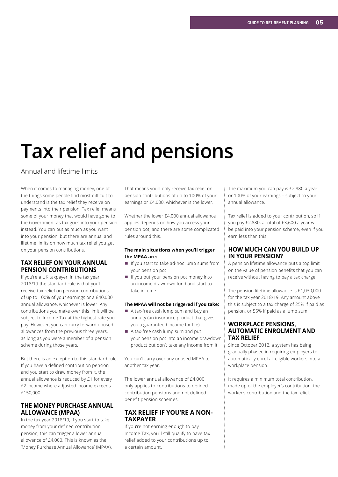### **Tax relief and pensions**

Annual and lifetime limits

When it comes to managing money, one of the things some people find most difficult to understand is the tax relief they receive on payments into their pension. Tax relief means some of your money that would have gone to the Government as tax goes into your pension instead. You can put as much as you want into your pension, but there are annual and lifetime limits on how much tax relief you get on your pension contributions.

#### **TAX RELIEF ON YOUR ANNUAL PENSION CONTRIBUTIONS**

If you're a UK taxpayer, in the tax year 2018/19 the standard rule is that you'll receive tax relief on pension contributions of up to 100% of your earnings or a £40,000 annual allowance, whichever is lower. Any contributions you make over this limit will be subject to Income Tax at the highest rate you pay. However, you can carry forward unused allowances from the previous three years, as long as you were a member of a pension scheme during those years.

But there is an exception to this standard rule. If you have a defned contribution pension and you start to draw money from it, the annual allowance is reduced by £1 for every £2 income where adjusted income exceeds £150,000.

#### **THE MONEY PURCHASE ANNUAL ALLOWANCE (MPAA)**

In the tax year 2018/19, if you start to take money from your defned contribution pension, this can trigger a lower annual allowance of £4,000. This is known as the 'Money Purchase Annual Allowance' (MPAA). That means you'll only receive tax relief on pension contributions of up to 100% of your earnings or £4,000, whichever is the lower.

Whether the lower £4,000 annual allowance applies depends on how you access your pension pot, and there are some complicated rules around this.

#### **The main situations when you'll trigger the MPAA are:**

- $\blacksquare$  If you start to take ad-hoc lump sums from your pension pot
- $\blacksquare$  If you put your pension pot money into an income drawdown fund and start to take income

#### **The MPAA will not be triggered if you take:**

- A tax-free cash lump sum and buy an annuity (an insurance product that gives you a guaranteed income for life)
- $A$  tax-free cash lump sum and put your pension pot into an income drawdown product but don't take any income from it

You can't carry over any unused MPAA to another tax year.

The lower annual allowance of £4,000 only applies to contributions to defned contribution pensions and not defned beneft pension schemes.

#### **TAX RELIEF IF YOU'RE A NON-TAXPAYER**

If you're not earning enough to pay Income Tax, you'll still qualify to have tax relief added to your contributions up to a certain amount.

The maximum you can pay is £2,880 a year or 100% of your earnings – subject to your annual allowance.

Tax relief is added to your contribution, so if you pay £2,880, a total of £3,600 a year will be paid into your pension scheme, even if you earn less than this.

#### **HOW MUCH CAN YOU BUILD UP IN YOUR PENSION?**

A pension lifetime allowance puts a top limit on the value of pension benefts that you can receive without having to pay a tax charge.

The pension lifetime allowance is £1,030,000 for the tax year 2018/19. Any amount above this is subject to a tax charge of 25% if paid as pension, or 55% if paid as a lump sum.

#### **WORKPLACE PENSIONS, AUTOMATIC ENROLMENT AND TAX RELIEF**

Since October 2012, a system has being gradually phased in requiring employers to automatically enrol all eligible workers into a workplace pension.

It requires a minimum total contribution, made up of the employer's contribution, the worker's contribution and the tax relief.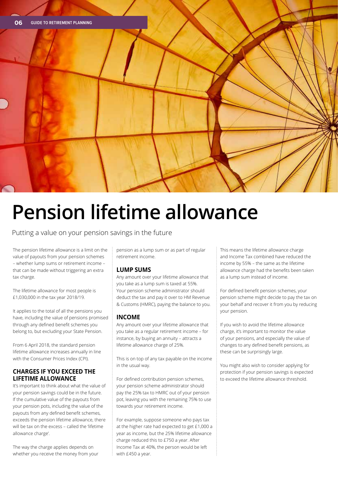

### **Pension lifetime allowance**

Putting a value on your pension savings in the future

The pension lifetime allowance is a limit on the value of payouts from your pension schemes – whether lump sums or retirement income – that can be made without triggering an extra tax charge.

The lifetime allowance for most people is £1,030,000 in the tax year 2018/19.

It applies to the total of all the pensions you have, including the value of pensions promised through any defned beneft schemes you belong to, but excluding your State Pension.

From 6 April 2018, the standard pension lifetime allowance increases annually in line with the Consumer Prices Index (CPI).

#### **CHARGES IF YOU EXCEED THE LIFETIME ALLOWANCE**

It's important to think about what the value of your pension savings could be in the future. If the cumulative value of the payouts from your pension pots, including the value of the payouts from any defned beneft schemes, exceeds the pension lifetime allowance, there will be tax on the excess – called the 'lifetime allowance charge'.

The way the charge applies depends on whether you receive the money from your pension as a lump sum or as part of regular retirement income.

#### **LUMP SUMS**

Any amount over your lifetime allowance that you take as a lump sum is taxed at 55%. Your pension scheme administrator should deduct the tax and pay it over to HM Revenue & Customs (HMRC), paying the balance to you.

#### **INCOME**

Any amount over your lifetime allowance that you take as a regular retirement income – for instance, by buying an annuity – attracts a lifetime allowance charge of 25%.

This is on top of any tax payable on the income in the usual way.

For defned contribution pension schemes, your pension scheme administrator should pay the 25% tax to HMRC out of your pension pot, leaving you with the remaining 75% to use towards your retirement income.

For example, suppose someone who pays tax at the higher rate had expected to get £1,000 a year as income, but the 25% lifetime allowance charge reduced this to £750 a year. After Income Tax at 40%, the person would be left with £450 a year.

This means the lifetime allowance charge and Income Tax combined have reduced the income by 55% – the same as the lifetime allowance charge had the benefts been taken as a lump sum instead of income.

For defned beneft pension schemes, your pension scheme might decide to pay the tax on your behalf and recover it from you by reducing your pension.

If you wish to avoid the lifetime allowance charge, it's important to monitor the value of your pensions, and especially the value of changes to any defned beneft pensions, as these can be surprisingly large.

You might also wish to consider applying for protection if your pension savings is expected to exceed the lifetime allowance threshold.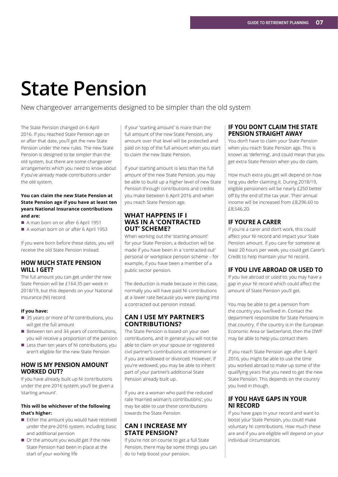### **State Pension**

New changeover arrangements designed to be simpler than the old system

The State Pension changed on 6 April 2016. If you reached State Pension age on or after that date, you'll get the new State Pension under the new rules. The new State Pension is designed to be simpler than the old system, but there are some changeover arrangements which you need to know about if you've already made contributions under the old system.

#### **You can claim the new State Pension at State Pension age if you have at least ten years National Insurance contributions and are:**

- A man born on or after 6 April 1951
- A woman born on or after 6 April 1953

If you were born before these dates, you will receive the old State Pension instead.

#### **HOW MUCH STATE PENSION WILL I GET?**

The full amount you can get under the new State Pension will be £164.35 per week in 2018/19, but this depends on your National Insurance (NI) record.

#### **If you have:**

- 35 years or more of NI contributions, you will get the full amount
- $\blacksquare$  Between ten and 34 years of contributions, you will receive a proportion of the pension
- $\blacksquare$  Less than ten years of NI contributions, you aren't eligible for the new State Pension

#### **HOW IS MY PENSION AMOUNT WORKED OUT?**

If you have already built up NI contributions under the pre-2016 system, you'll be given a 'starting amount'.

#### **This will be whichever of the following that's higher:**

- $i$  Either the amount you would have received under the pre-2016 system, including basic and additional pension
- $\blacksquare$  Or the amount you would get if the new State Pension had been in place at the start of your working life

If your 'starting amount' is more than the full amount of the new State Pension, any amount over that level will be protected and paid on top of the full amount when you start to claim the new State Pension.

If your starting amount is less than the full amount of the new State Pension, you may be able to build up a higher level of new State Pension through contributions and credits you make between 6 April 2016 and when you reach State Pension age.

#### **WHAT HAPPENS IF I WAS IN A 'CONTRACTED OUT' SCHEME?**

When working out the 'starting amount' for your State Pension, a deduction will be made if you have been in a 'contracted out' personal or workplace pension scheme – for example, if you have been a member of a public sector pension.

The deduction is made because in this case, normally you will have paid NI contributions at a lower rate because you were paying into a contracted out pension instead.

#### **CAN I USE MY PARTNER'S CONTRIBUTIONS?**

The State Pension is based on your own contributions, and in general you will not be able to claim on your spouse or registered civil partner's contributions at retirement or if you are widowed or divorced. However, if you're widowed, you may be able to inherit part of your partner's additional State Pension already built up.

If you are a woman who paid the reduced rate 'married woman's contributions', you may be able to use these contributions towards the State Pension.

#### **CAN I INCREASE MY STATE PENSION?**

If you're not on course to get a full State Pension, there may be some things you can do to help boost your pension.

#### **IF YOU DON'T CLAIM THE STATE PENSION STRAIGHT AWAY**

You don't have to claim your State Pension when you reach State Pension age. This is known as 'deferring', and could mean that you get extra State Pension when you do claim.

How much extra you get will depend on how long you defer claiming it. During 2018/19, eligible pensioners will be nearly £250 better off by the end of the tax year. Their annual income will be increased from £8,296.60 to £8,546.20.

#### **IF YOU'RE A CARER**

If you're a carer and don't work, this could affect your NI record and impact your State Pension amount. If you care for someone at least 20 hours per week, you could get Carer's Credit to help maintain your NI record.

#### **IF YOU LIVE ABROAD OR USED TO**

If you live abroad or used to, you may have a gap in your NI record which could affect the amount of State Pension you'll get.

You may be able to get a pension from the country you live/lived in. Contact the department responsible for State Pensions in that country. If the country is in the European Economic Area or Switzerland, then the DWP may be able to help you contact them.

If you reach State Pension age after 6 April 2016, you might be able to use the time you worked abroad to make up some of the qualifying years that you need to get the new State Pension. This depends on the country you lived in though.

#### **IF YOU HAVE GAPS IN YOUR NI RECORD**

If you have gaps in your record and want to boost your State Pension, you could make voluntary NI contributions. How much these are and if you are eligible will depend on your individual circumstances.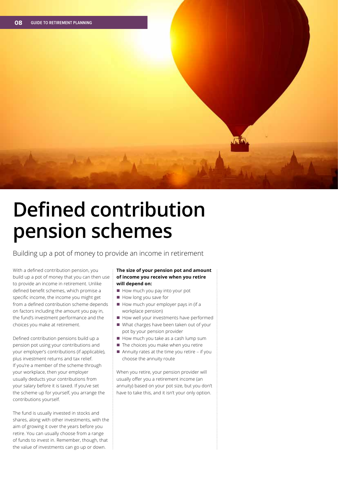

### **Defined contribution pension schemes**

Building up a pot of money to provide an income in retirement

With a defned contribution pension, you build up a pot of money that you can then use to provide an income in retirement. Unlike defned beneft schemes, which promise a specific income, the income you might get from a defined contribution scheme depends on factors including the amount you pay in, the fund's investment performance and the choices you make at retirement.

Defned contribution pensions build up a pension pot using your contributions and your employer's contributions (if applicable), plus investment returns and tax relief. If you're a member of the scheme through your workplace, then your employer usually deducts your contributions from your salary before it is taxed. If you've set the scheme up for yourself, you arrange the contributions yourself.

The fund is usually invested in stocks and shares, along with other investments, with the aim of growing it over the years before you retire. You can usually choose from a range of funds to invest in. Remember, though, that the value of investments can go up or down.

#### **The size of your pension pot and amount of income you receive when you retire will depend on:**

- $\blacksquare$  How much you pay into your pot
- $\blacksquare$  How long you save for
- $\blacksquare$  How much your employer pays in (if a workplace pension)
- $\blacksquare$  How well your investments have performed
- What charges have been taken out of your
- pot by your pension provider
- $\blacksquare$  How much you take as a cash lump sum
- $\blacksquare$  The choices you make when you retire
- Annuity rates at the time you retire if you choose the annuity route

When you retire, your pension provider will usually offer you a retirement income (an annuity) based on your pot size, but you don't have to take this, and it isn't your only option.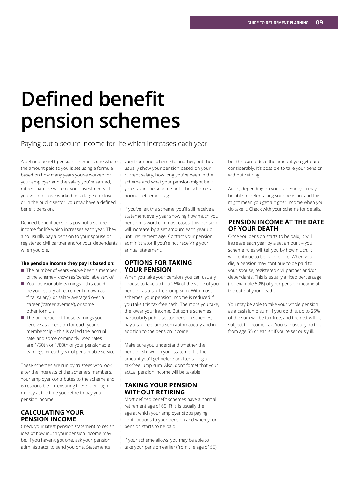### **Defined benefit pension schemes**

Paying out a secure income for life which increases each year

A defined benefit pension scheme is one where the amount paid to you is set using a formula based on how many years you've worked for your employer and the salary you've earned, rather than the value of your investments. If you work or have worked for a large employer or in the public sector, you may have a defned benefit pension.

Defned beneft pensions pay out a secure income for life which increases each year. They also usually pay a pension to your spouse or registered civil partner and/or your dependants when you die.

#### **The pension income they pay is based on:**

- $\blacksquare$  The number of years you've been a member of the scheme – known as 'pensionable service'
- $\blacksquare$  Your pensionable earnings this could be your salary at retirement (known as 'final salary'), or salary averaged over a career ('career average'), or some other formula
- $\blacksquare$  The proportion of those earnings you receive as a pension for each year of membership – this is called the 'accrual rate' and some commonly used rates are 1/60th or 1/80th of your pensionable earnings for each year of pensionable service

These schemes are run by trustees who look after the interests of the scheme's members. Your employer contributes to the scheme and is responsible for ensuring there is enough money at the time you retire to pay your pension income.

#### **CALCULATING YOUR PENSION INCOME**

Check your latest pension statement to get an idea of how much your pension income may be. If you haven't got one, ask your pension administrator to send you one. Statements

vary from one scheme to another, but they usually show your pension based on your current salary, how long you've been in the scheme and what your pension might be if you stay in the scheme until the scheme's normal retirement age.

If you've left the scheme, you'll still receive a statement every year showing how much your pension is worth. In most cases, this pension will increase by a set amount each year up until retirement age. Contact your pension administrator if you're not receiving your annual statement.

#### **OPTIONS FOR TAKING YOUR PENSION**

When you take your pension, you can usually choose to take up to a 25% of the value of your pension as a tax-free lump sum. With most schemes, your pension income is reduced if you take this tax-free cash. The more you take, the lower your income. But some schemes, particularly public sector pension schemes, pay a tax-free lump sum automatically and in addition to the pension income.

Make sure you understand whether the pension shown on your statement is the amount you'll get before or after taking a tax-free lump sum. Also, don't forget that your actual pension income will be taxable.

#### **TAKING YOUR PENSION WITHOUT RETIRING**

Most defned beneft schemes have a normal retirement age of 65. This is usually the age at which your employer stops paying contributions to your pension and when your pension starts to be paid.

If your scheme allows, you may be able to take your pension earlier (from the age of 55), but this can reduce the amount you get quite considerably. It's possible to take your pension without retiring.

Again, depending on your scheme, you may be able to defer taking your pension, and this might mean you get a higher income when you do take it. Check with your scheme for details.

#### **PENSION INCOME AT THE DATE OF YOUR DEATH**

Once you pension starts to be paid, it will increase each year by a set amount – your scheme rules will tell you by how much. It will continue to be paid for life. When you die, a pension may continue to be paid to your spouse, registered civil partner and/or dependants. This is usually a fxed percentage (for example 50%) of your pension income at the date of your death.

You may be able to take your whole pension as a cash lump sum. If you do this, up to 25% of the sum will be tax-free, and the rest will be subject to Income Tax. You can usually do this from age 55 or earlier if you're seriously ill.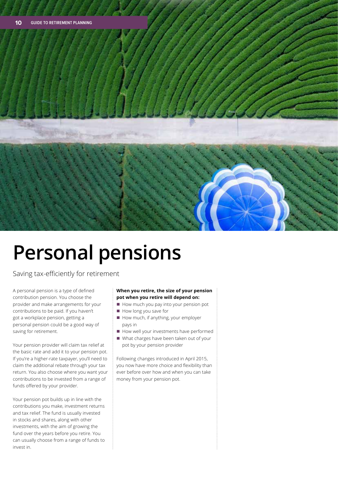

### **Personal pensions**

#### Saving tax-efficiently for retirement

A personal pension is a type of defned contribution pension. You choose the provider and make arrangements for your contributions to be paid. If you haven't got a workplace pension, getting a personal pension could be a good way of saving for retirement.

Your pension provider will claim tax relief at the basic rate and add it to your pension pot. If you're a higher-rate taxpayer, you'll need to claim the additional rebate through your tax return. You also choose where you want your contributions to be invested from a range of funds offered by your provider.

Your pension pot builds up in line with the contributions you make, investment returns and tax relief. The fund is usually invested in stocks and shares, along with other investments, with the aim of growing the fund over the years before you retire. You can usually choose from a range of funds to invest in.

#### **When you retire, the size of your pension pot when you retire will depend on:**

- How much you pay into your pension pot
- How long you save for
- $\blacksquare$  How much, if anything, your employer pays in
- $\blacksquare$  How well your investments have performed
- $\blacksquare$  What charges have been taken out of your pot by your pension provider

Following changes introduced in April 2015, you now have more choice and fexibility than ever before over how and when you can take money from your pension pot.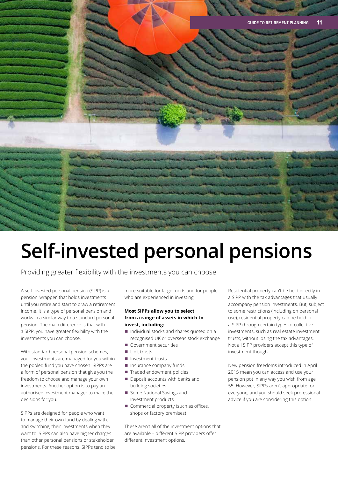

### **Self-invested personal pensions**

Providing greater fexibility with the investments you can choose

A self-invested personal pension (SIPP) is a pension 'wrapper' that holds investments until you retire and start to draw a retirement income. It is a type of personal pension and works in a similar way to a standard personal pension. The main difference is that with a SIPP, you have greater fexibility with the investments you can choose.

With standard personal pension schemes, your investments are managed for you within the pooled fund you have chosen. SIPPs are a form of personal pension that give you the freedom to choose and manage your own investments. Another option is to pay an authorised investment manager to make the decisions for you.

SIPPs are designed for people who want to manage their own fund by dealing with, and switching, their investments when they want to. SIPPs can also have higher charges than other personal pensions or stakeholder pensions. For these reasons, SIPPs tend to be more suitable for large funds and for people who are experienced in investing.

#### **Most SIPPs allow you to select from a range of assets in which to invest, including:**

- $\blacksquare$  Individual stocks and shares quoted on a recognised UK or overseas stock exchange
- **n** Government securities
- n Unit trusts
- nvestment trusts
- $\blacksquare$  Insurance company funds
- Traded endowment policies
- $\blacksquare$  Deposit accounts with banks and building societies
- Some National Savings and Investment products
- $\blacksquare$  Commercial property (such as offices, shops or factory premises)

These aren't all of the investment options that are available – different SIPP providers offer different investment options.

Residential property can't be held directly in a SIPP with the tax advantages that usually accompany pension investments. But, subject to some restrictions (including on personal use), residential property can be held in a SIPP through certain types of collective investments, such as real estate investment trusts, without losing the tax advantages. Not all SIPP providers accept this type of investment though.

New pension freedoms introduced in April 2015 mean you can access and use your pension pot in any way you wish from age 55. However, SIPPs aren't appropriate for everyone, and you should seek professional advice if you are considering this option.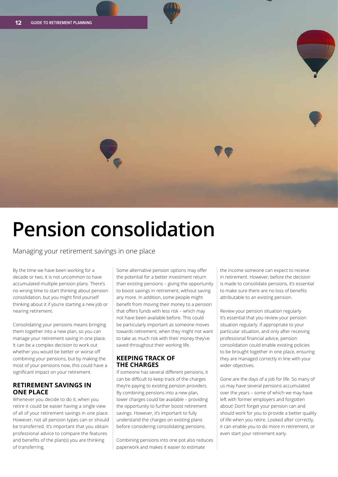

### **Pension consolidation**

Managing your retirement savings in one place

By the time we have been working for a decade or two, it is not uncommon to have accumulated multiple pension plans. There's no wrong time to start thinking about pension consolidation, but you might find yourself thinking about it if you're starting a new job or nearing retirement.

Consolidating your pensions means bringing them together into a new plan, so you can manage your retirement saving in one place. It can be a complex decision to work out whether you would be better or worse off combining your pensions, but by making the most of your pensions now, this could have a signifcant impact on your retirement.

#### **RETIREMENT SAVINGS IN ONE PLACE**

Whenever you decide to do it, when you retire it could be easier having a single view of all of your retirement savings in one place. However, not all pension types can or should be transferred. It's important that you obtain professional advice to compare the features and benefts of the plan(s) you are thinking of transferring.

Some alternative pension options may offer the potential for a better investment return than existing pensions – giving the opportunity to boost savings in retirement, without saving any more. In addition, some people might benefit from moving their money to a pension that offers funds with less risk – which may not have been available before. This could be particularly important as someone moves towards retirement, when they might not want to take as much risk with their money they've saved throughout their working life.

#### **KEEPING TRACK OF THE CHARGES**

If someone has several different pensions, it can be difficult to keep track of the charges they're paying to existing pension providers. By combining pensions into a new plan, lower charges could be available – providing the opportunity to further boost retirement savings. However, it's important to fully understand the charges on existing plans before considering consolidating pensions.

Combining pensions into one pot also reduces paperwork and makes it easier to estimate

the income someone can expect to receive in retirement. However, before the decision is made to consolidate pensions, it's essential to make sure there are no loss of benefits attributable to an existing pension.

Review your pension situation regularly It's essential that you review your pension situation regularly. If appropriate to your particular situation, and only after receiving professional fnancial advice, pension consolidation could enable existing policies to be brought together in one place, ensuring they are managed correctly in line with your wider objectives.

Gone are the days of a job for life. So many of us may have several pensions accumulated over the years – some of which we may have left with former employers and forgotten about! Don't forget your pension can and should work for you to provide a better quality of life when you retire. Looked after correctly, it can enable you to do more in retirement, or even start your retirement early.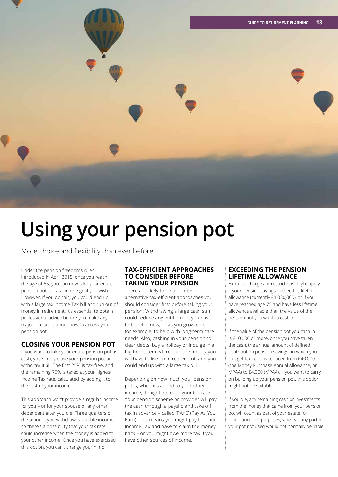

### **Using your pension pot**

More choice and fexibility than ever before

Under the pension freedoms rules introduced in April 2015, once you reach the age of 55, you can now take your entire pension pot as cash in one go if you wish. However, if you do this, you could end up with a large tax Income Tax bill and run out of money in retirement. It's essential to obtain professional advice before you make any major decisions about how to access your pension pot.

#### **CLOSING YOUR PENSION POT**

If you want to take your entire pension pot as cash, you simply close your pension pot and withdraw it all. The frst 25% is tax-free, and the remaining 75% is taxed at your highest Income Tax rate, calculated by adding it to the rest of your income.

This approach won't provide a regular income for you – or for your spouse or any other dependant after you die. Three quarters of the amount you withdraw is taxable income, so there's a possibility that your tax rate could increase when the money is added to your other income. Once you have exercised this option, you can't change your mind.

#### **TAX-EFFICIENT APPROACHES TO CONSIDER BEFORE TAKING YOUR PENSION**

There are likely to be a number of alternative tax-efficient approaches you should consider frst before taking your pension. Withdrawing a large cash sum could reduce any entitlement you have to benefits now, or as you grow older for example, to help with long-term care needs. Also, cashing in your pension to clear debts, buy a holiday or indulge in a big-ticket item will reduce the money you will have to live on in retirement, and you could end up with a large tax bill.

Depending on how much your pension pot is, when it's added to your other income, it might increase your tax rate. Your pension scheme or provider will pay the cash through a payslip and take off tax in advance – called 'PAYE' (Pay As You Earn). This means you might pay too much Income Tax and have to claim the money back – or you might owe more tax if you have other sources of income.

#### **EXCEEDING THE PENSION LIFETIME ALLOWANCE**

Extra tax charges or restrictions might apply if your pension savings exceed the lifetime allowance (currently £1,030,000), or if you have reached age 75 and have less lifetime allowance available than the value of the pension pot you want to cash in.

If the value of the pension pot you cash in is £10,000 or more, once you have taken the cash, the annual amount of defned contribution pension savings on which you can get tax relief is reduced from £40,000 (the Money Purchase Annual Allowance, or MPAA) to £4,000 (MPAA). If you want to carry on building up your pension pot, this option might not be suitable.

If you die, any remaining cash or investments from the money that came from your pension pot will count as part of your estate for Inheritance Tax purposes, whereas any part of your pot not used would not normally be liable.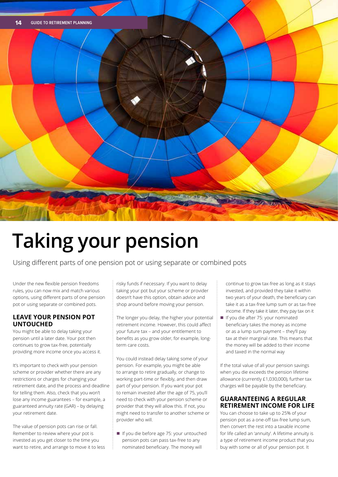

## **Taking your pension**

Using different parts of one pension pot or using separate or combined pots

Under the new fexible pension freedoms rules, you can now mix and match various options, using different parts of one pension pot or using separate or combined pots.

#### **LEAVE YOUR PENSION POT UNTOUCHED**

You might be able to delay taking your pension until a later date. Your pot then continues to grow tax-free, potentially providing more income once you access it.

It's important to check with your pension scheme or provider whether there are any restrictions or charges for changing your retirement date, and the process and deadline for telling them. Also, check that you won't lose any income guarantees – for example, a guaranteed annuity rate (GAR) – by delaying your retirement date.

The value of pension pots can rise or fall. Remember to review where your pot is invested as you get closer to the time you want to retire, and arrange to move it to less risky funds if necessary. If you want to delay taking your pot but your scheme or provider doesn't have this option, obtain advice and shop around before moving your pension.

The longer you delay, the higher your potential retirement income. However, this could affect your future tax – and your entitlement to benefits as you grow older, for example, longterm care costs.

You could instead delay taking some of your pension. For example, you might be able to arrange to retire gradually, or change to working part-time or fexibly, and then draw part of your pension. If you want your pot to remain invested after the age of 75, you'll need to check with your pension scheme or provider that they will allow this. If not, you might need to transfer to another scheme or provider who will.

n If you die before age 75: your untouched pension pots can pass tax-free to any nominated beneficiary. The money will

continue to grow tax-free as long as it stays invested, and provided they take it within two years of your death, the beneficiary can take it as a tax-free lump sum or as tax-free income. If they take it later, they pay tax on it

n If you die after 75: your nominated beneficiary takes the money as income or as a lump sum payment – they'll pay tax at their marginal rate. This means that the money will be added to their income and taxed in the normal way

If the total value of all your pension savings when you die exceeds the pension lifetime allowance (currently £1,030,000), further tax charges will be payable by the beneficiary.

#### **GUARANTEEING A REGULAR RETIREMENT INCOME FOR LIFE**

You can choose to take up to 25% of your pension pot as a one-off tax-free lump sum, then convert the rest into a taxable income for life called an 'annuity'. A lifetime annuity is a type of retirement income product that you buy with some or all of your pension pot. It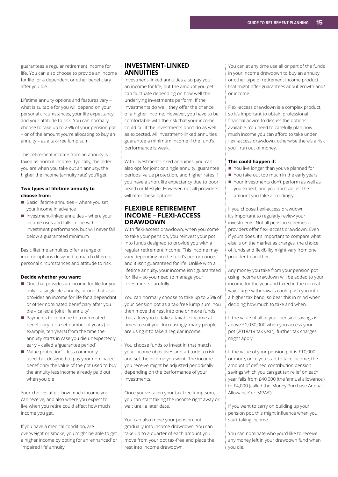guarantees a regular retirement income for life. You can also choose to provide an income for life for a dependent or other beneficiary after you die.

Lifetime annuity options and features vary – what is suitable for you will depend on your personal circumstances, your life expectancy and your attitude to risk. You can normally choose to take up to 25% of your pension pot – or of the amount you're allocating to buy an annuity – as a tax-free lump sum.

This retirement income from an annuity is taxed as normal income. Typically, the older you are when you take out an annuity, the higher the income (annuity rate) you'll get.

#### **Two types of lifetime annuity to choose from:**

- $\blacksquare$  Basic lifetime annuities where you set your income in advance
- $\blacksquare$  Investment-linked annuities where your income rises and falls in line with investment performance, but will never fall below a guaranteed minimum

Basic lifetime annuities offer a range of income options designed to match different personal circumstances and attitude to risk.

#### **Decide whether you want:**

- $\Box$  One that provides an income for life for you only – a single life annuity, or one that also provides an income for life for a dependant or other nominated beneficiary after you die – called a 'joint life annuity'
- $\blacksquare$  Payments to continue to a nominated beneficiary for a set number of years (for example, ten years) from the time the annuity starts in case you die unexpectedly early – called a 'guarantee period'
- Value protection' less commonly used, but designed to pay your nominated beneficiary the value of the pot used to buy the annuity less income already paid out when you die

Your choices affect how much income you can receive, and also where you expect to live when you retire could affect how much income you get.

If you have a medical condition, are overweight or smoke, you might be able to get a higher income by opting for an 'enhanced' or 'impaired life' annuity.

#### **INVESTMENT-LINKED ANNUITIES**

Investment-linked annuities also pay you an income for life, but the amount you get can fuctuate depending on how well the underlying investments perform. If the investments do well, they offer the chance of a higher income. However, you have to be comfortable with the risk that your income could fall if the investments don't do as well as expected. All investment-linked annuities guarantee a minimum income if the fund's performance is weak.

With investment-linked annuities, you can also opt for joint or single annuity, guarantee periods, value protection, and higher rates if you have a short life expectancy due to poor health or lifestyle. However, not all providers will offer these options.

#### **FLEXIBLE RETIREMENT INCOME – FLEXI-ACCESS DRAWDOWN**

With fexi-access drawdown, when you come to take your pension, you reinvest your pot into funds designed to provide you with a regular retirement income. This income may vary depending on the fund's performance, and it isn't guaranteed for life. Unlike with a lifetime annuity, your income isn't guaranteed for life – so you need to manage your investments carefully.

You can normally choose to take up to 25% of your pension pot as a tax-free lump sum. You then move the rest into one or more funds that allow you to take a taxable income at times to suit you. Increasingly, many people are using it to take a regular income.

You choose funds to invest in that match your income objectives and attitude to risk and set the income you want. The income you receive might be adjusted periodically depending on the performance of your investments.

Once you've taken your tax-free lump sum, you can start taking the income right away or wait until a later date.

You can also move your pension pot gradually into income drawdown. You can take up to a quarter of each amount you move from your pot tax-free and place the rest into income drawdown.

You can at any time use all or part of the funds in your income drawdown to buy an annuity or other type of retirement income product that might offer guarantees about growth and/ or income.

Flexi-access drawdown is a complex product, so it's important to obtain professional fnancial advice to discuss the options available. You need to carefully plan how much income you can afford to take under fexi-access drawdown, otherwise there's a risk you'll run out of money.

#### **This could happen if:**

- You live longer than you've planned for
- You take out too much in the early years
- $\blacksquare$  Your investments don't perform as well as you expect, and you don't adjust the amount you take accordingly

If you choose flexi-access drawdown, it's important to regularly review your investments. Not all pension schemes or providers offer fexi-access drawdown. Even if yours does, it's important to compare what else is on the market as charges, the choice of funds and fexibility might vary from one provider to another.

Any money you take from your pension pot using income drawdown will be added to your income for the year and taxed in the normal way. Large withdrawals could push you into a higher tax band, so bear this in mind when deciding how much to take and when.

If the value of all of your pension savings is above £1,030,000 when you access your pot (2018/19 tax year), further tax charges might apply.

If the value of your pension pot is £10,000 or more, once you start to take income, the amount of defned contribution pension savings which you can get tax relief on each year falls from £40,000 (the 'annual allowance') to £4,000 (called the 'Money Purchase Annual Allowance' or 'MPAA').

If you want to carry on building up your pension pot, this might infuence when you start taking income.

You can nominate who you'd like to receive any money left in your drawdown fund when you die.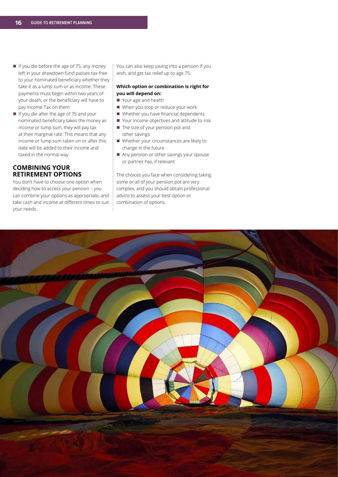- $\blacksquare$  If you die before the age of 75, any money left in your drawdown fund passes tax-free to your nominated beneficiary whether they take it as a lump sum or as income. These payments must begin within two years of your death, or the beneficiary will have to pay Income Tax on them
- **n** If you die after the age of 75 and your nominated beneficiary takes the money as income or lump sum, they will pay tax at their marginal rate. This means that any income or lump sum taken on or after this date will be added to their income and taxed in the normal way

#### **COMBINING YOUR RETIREMENT OPTIONS**

You don't have to choose one option when deciding how to access your pension – you can combine your options as appropriate, and take cash and income at different times to suit your needs.

You can also keep saving into a pension if you wish, and get tax relief up to age 75.

#### **Which option or combination is right for you will depend on:**

- Your age and health
- When you stop or reduce your work
- Whether you have financial dependents
- Your income objectives and attitude to risk
- $\blacksquare$  The size of your pension pot and other savings
- Whether your circumstances are likely to change in the future
- Any pension or other savings your spouse or partner has, if relevant

The choices you face when considering taking some or all of your pension pot are very complex, and you should obtain professional advice to assess your best option or combination of options.

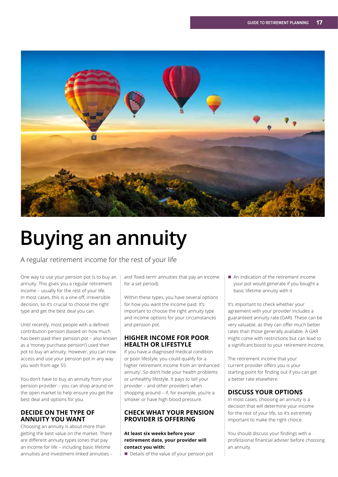

# **Buying an annuity**

A regular retirement income for the rest of your life

One way to use your pension pot is to buy an annuity. This gives you a regular retirement income – usually for the rest of your life. In most cases, this is a one-off, irreversible decision, so it's crucial to choose the right type and get the best deal you can.

Until recently, most people with a defned contribution pension (based on how much has been paid their pension pot – also known as a 'money purchase pension') used their pot to buy an annuity. However, you can now access and use your pension pot in any way you wish from age 55.

You don't have to buy an annuity from your pension provider – you can shop around on the open market to help ensure you get the best deal and options for you.

#### **DECIDE ON THE TYPE OF ANNUITY YOU WANT**

Choosing an annuity is about more than getting the best value on the market. There are different annuity types (ones that pay an income for life – including basic lifetime annuities and investment-linked annuities –

and 'fxed-term' annuities that pay an income for a set period).

Within these types, you have several options for how you want the income paid. It's important to choose the right annuity type and income options for your circumstances and pension pot.

#### **HIGHER INCOME FOR POOR HEALTH OR LIFESTYLE**

If you have a diagnosed medical condition or poor lifestyle, you could qualify for a higher retirement income from an 'enhanced annuity'. So don't hide your health problems or unhealthy lifestyle. It pays to tell your provider – and other providers when shopping around – if, for example, you're a smoker or have high blood pressure.

#### **CHECK WHAT YOUR PENSION PROVIDER IS OFFERING**

#### **At least six weeks before your retirement date, your provider will contact you with:**

Details of the value of your pension pot

 $\blacksquare$  An indication of the retirement income your pot would generate if you bought a basic lifetime annuity with it

It's important to check whether your agreement with your provider includes a guaranteed annuity rate (GAR). These can be very valuable, as they can offer much better rates than those generally available. A GAR might come with restrictions but can lead to a signifcant boost to your retirement income.

The retirement income that your current provider offers you is your starting point for fnding out if you can get a better rate elsewhere.

#### **DISCUSS YOUR OPTIONS**

In most cases, choosing an annuity is a decision that will determine your income for the rest of your life, so it's extremely important to make the right choice.

You should discuss your findings with a professional fnancial adviser before choosing an annuity.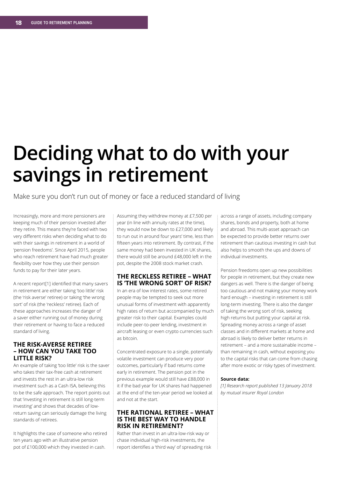### **Deciding what to do with your savings in retirement**

Make sure you don't run out of money or face a reduced standard of living

Increasingly, more and more pensioners are keeping much of their pension invested after they retire. This means they're faced with two very different risks when deciding what to do with their savings in retirement in a world of 'pension freedoms'. Since April 2015, people who reach retirement have had much greater fexibility over how they use their pension funds to pay for their later years.

A recent report[1] identifed that many savers in retirement are either taking 'too little' risk (the 'risk averse' retiree) or taking 'the wrong sort' of risk (the 'reckless' retiree). Each of these approaches increases the danger of a saver either running out of money during their retirement or having to face a reduced standard of living.

#### **THE RISK-AVERSE RETIREE – HOW CAN YOU TAKE TOO LITTLE RISK?**

An example of taking 'too little' risk is the saver who takes their tax-free cash at retirement and invests the rest in an ultra-low risk investment such as a Cash ISA, believing this to be the safe approach. The report points out that 'investing in retirement is still long-term investing' and shows that decades of lowreturn saving can seriously damage the living standards of retirees.

It highlights the case of someone who retired ten years ago with an illustrative pension pot of £100,000 which they invested in cash.

Assuming they withdrew money at £7,500 per year (in line with annuity rates at the time), they would now be down to £27,000 and likely to run out in around four years' time, less than ffteen years into retirement. By contrast, if the same money had been invested in UK shares, there would still be around £48,000 left in the pot, despite the 2008 stock market crash.

#### **THE RECKLESS RETIREE – WHAT IS 'THE WRONG SORT' OF RISK?**

In an era of low interest rates, some retired people may be tempted to seek out more unusual forms of investment with apparently high rates of return but accompanied by much greater risk to their capital. Examples could include peer-to-peer lending, investment in aircraft leasing or even crypto currencies such as bitcoin.

Concentrated exposure to a single, potentially volatile investment can produce very poor outcomes, particularly if bad returns come early in retirement. The pension pot in the previous example would still have £88,000 in it if the bad year for UK shares had happened at the end of the ten-year period we looked at and not at the start.

#### **THE RATIONAL RETIREE – WHAT IS THE BEST WAY TO HANDLE RISK IN RETIREMENT?**

Rather than invest in an ultra-low-risk way or chase individual high-risk investments, the report identifes a 'third way' of spreading risk across a range of assets, including company shares, bonds and property, both at home and abroad. This multi-asset approach can be expected to provide better returns over retirement than cautious investing in cash but also helps to smooth the ups and downs of individual investments.

Pension freedoms open up new possibilities for people in retirement, but they create new dangers as well. There is the danger of being too cautious and not making your money work hard enough – investing in retirement is still long-term investing. There is also the danger of taking the wrong sort of risk, seeking high returns but putting your capital at risk. Spreading money across a range of asset classes and in different markets at home and abroad is likely to deliver better returns in retirement – and a more sustainable income – than remaining in cash, without exposing you to the capital risks that can come from chasing after more exotic or risky types of investment.

#### **Source data:**

*[1] Research report published 13 January 2018 by mutual insurer Royal London*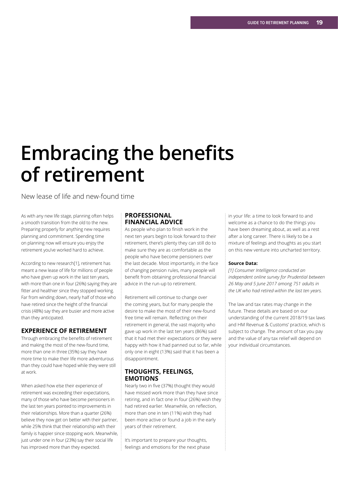### **Embracing the benefits of retirement**

New lease of life and new-found time

As with any new life stage, planning often helps a smooth transition from the old to the new. Preparing properly for anything new requires planning and commitment. Spending time on planning now will ensure you enjoy the retirement you've worked hard to achieve.

According to new research[1], retirement has meant a new lease of life for millions of people who have given up work in the last ten years, with more than one in four (26%) saying they are fitter and healthier since they stopped working. Far from winding down, nearly half of those who have retired since the height of the fnancial crisis (48%) say they are busier and more active than they anticipated.

#### **EXPERIENCE OF RETIREMENT**

Through embracing the benefits of retirement and making the most of the new-found time, more than one in three (35%) say they have more time to make their life more adventurous than they could have hoped while they were still at work.

When asked how else their experience of retirement was exceeding their expectations, many of those who have become pensioners in the last ten years pointed to improvements in their relationships. More than a quarter (26%) believe they now get on better with their partner, while 25% think that their relationship with their family is happier since stopping work. Meanwhile, just under one in four (23%) say their social life has improved more than they expected.

#### **PROFESSIONAL FINANCIAL ADVICE**

As people who plan to finish work in the next ten years begin to look forward to their retirement, there's plenty they can still do to make sure they are as comfortable as the people who have become pensioners over the last decade. Most importantly, in the face of changing pension rules, many people will beneft from obtaining professional fnancial advice in the run-up to retirement.

Retirement will continue to change over the coming years, but for many people the desire to make the most of their new-found free time will remain. Refecting on their retirement in general, the vast majority who gave up work in the last ten years (86%) said that it had met their expectations or they were happy with how it had panned out so far, while only one in eight (13%) said that it has been a disappointment.

#### **THOUGHTS, FEELINGS, EMOTIONS**

Nearly two in fve (37%) thought they would have missed work more than they have since retiring, and in fact one in four (26%) wish they had retired earlier. Meanwhile, on refection, more than one in ten (11%) wish they had been more active or found a job in the early years of their retirement.

It's important to prepare your thoughts, feelings and emotions for the next phase in your life: a time to look forward to and welcome as a chance to do the things you have been dreaming about, as well as a rest after a long career. There is likely to be a mixture of feelings and thoughts as you start on this new venture into uncharted territory.

#### **Source Data:**

*[1] Consumer Intelligence conducted an independent online survey for Prudential between 26 May and 5 June 2017 among 751 adults in the UK who had retired within the last ten years.*

The law and tax rates may change in the future. These details are based on our understanding of the current 2018/19 tax laws and HM Revenue & Customs' practice, which is subject to change. The amount of tax you pay and the value of any tax relief will depend on your individual circumstances.